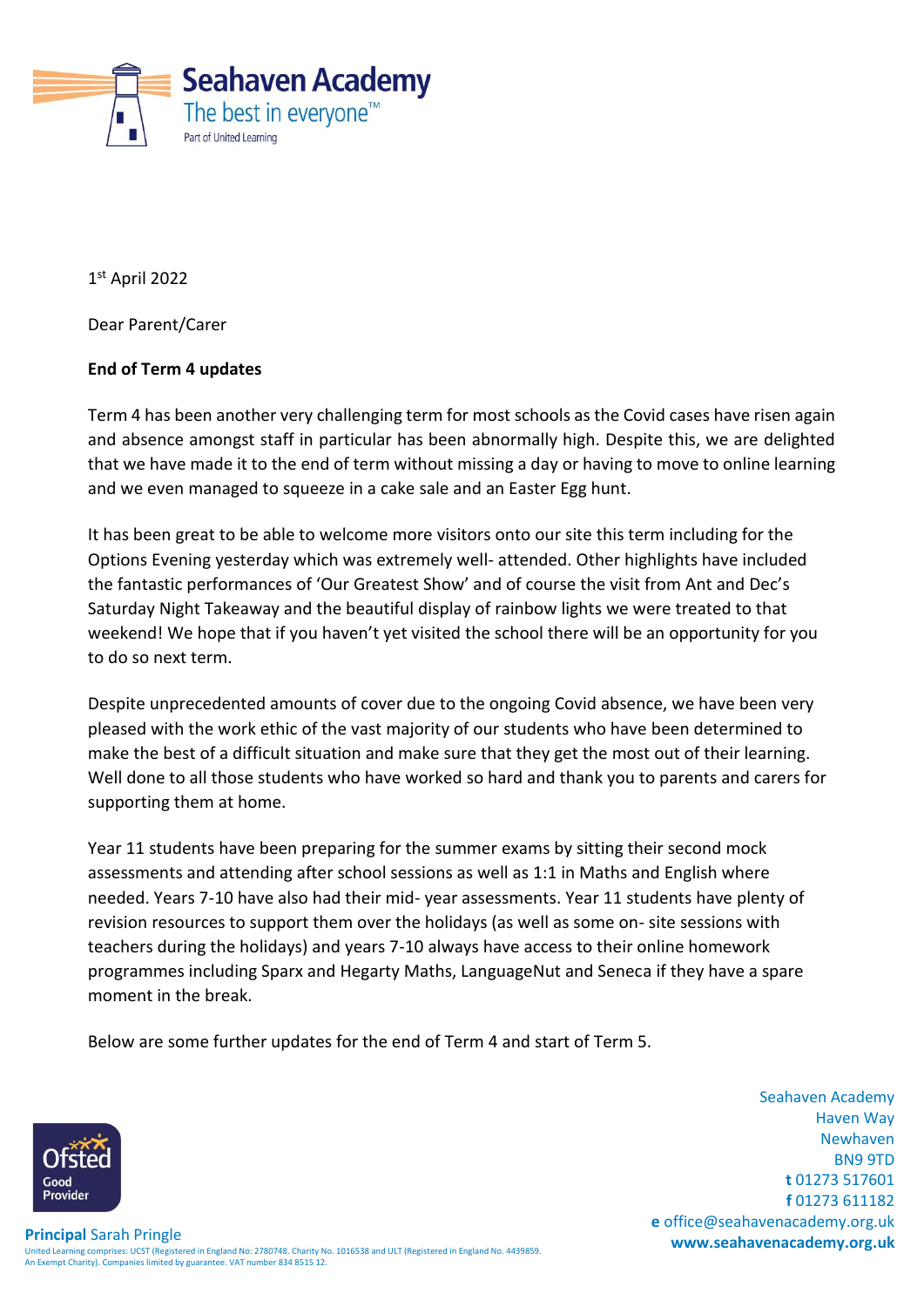

1 st April 2022

Dear Parent/Carer

# **End of Term 4 updates**

Term 4 has been another very challenging term for most schools as the Covid cases have risen again and absence amongst staff in particular has been abnormally high. Despite this, we are delighted that we have made it to the end of term without missing a day or having to move to online learning and we even managed to squeeze in a cake sale and an Easter Egg hunt.

It has been great to be able to welcome more visitors onto our site this term including for the Options Evening yesterday which was extremely well- attended. Other highlights have included the fantastic performances of 'Our Greatest Show' and of course the visit from Ant and Dec's Saturday Night Takeaway and the beautiful display of rainbow lights we were treated to that weekend! We hope that if you haven't yet visited the school there will be an opportunity for you to do so next term.

Despite unprecedented amounts of cover due to the ongoing Covid absence, we have been very pleased with the work ethic of the vast majority of our students who have been determined to make the best of a difficult situation and make sure that they get the most out of their learning. Well done to all those students who have worked so hard and thank you to parents and carers for supporting them at home.

Year 11 students have been preparing for the summer exams by sitting their second mock assessments and attending after school sessions as well as 1:1 in Maths and English where needed. Years 7-10 have also had their mid- year assessments. Year 11 students have plenty of revision resources to support them over the holidays (as well as some on- site sessions with teachers during the holidays) and years 7-10 always have access to their online homework programmes including Sparx and Hegarty Maths, LanguageNut and Seneca if they have a spare moment in the break.

Below are some further updates for the end of Term 4 and start of Term 5.

Seahaven Academy Haven Way Newhaven BN9 9TD **t** 01273 517601 **f** 01273 611182 **e** office@seahavenacademy.org.uk

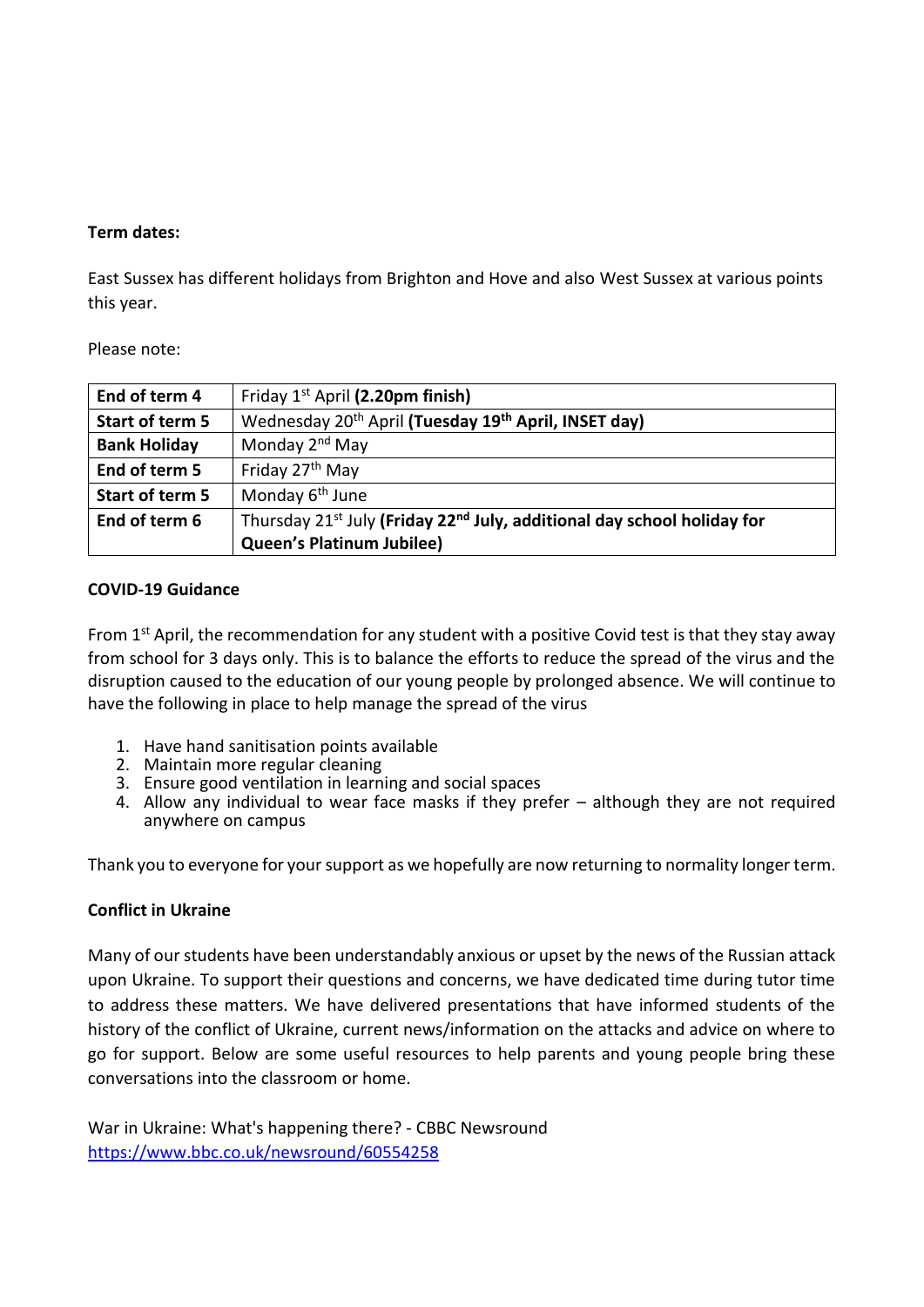## **Term dates:**

East Sussex has different holidays from Brighton and Hove and also West Sussex at various points this year.

## Please note:

| End of term 4       | Friday 1 <sup>st</sup> April (2.20pm finish)                                                    |
|---------------------|-------------------------------------------------------------------------------------------------|
| Start of term 5     | Wednesday 20 <sup>th</sup> April (Tuesday 19 <sup>th</sup> April, INSET day)                    |
| <b>Bank Holiday</b> | Monday 2 <sup>nd</sup> May                                                                      |
| End of term 5       | Friday 27 <sup>th</sup> May                                                                     |
| Start of term 5     | Monday 6 <sup>th</sup> June                                                                     |
| End of term 6       | Thursday 21 <sup>st</sup> July (Friday 22 <sup>nd</sup> July, additional day school holiday for |
|                     | <b>Queen's Platinum Jubilee)</b>                                                                |

## **COVID-19 Guidance**

From  $1<sup>st</sup>$  April, the recommendation for any student with a positive Covid test is that they stay away from school for 3 days only. This is to balance the efforts to reduce the spread of the virus and the disruption caused to the education of our young people by prolonged absence. We will continue to have the following in place to help manage the spread of the virus

- 1. Have hand sanitisation points available
- 2. Maintain more regular cleaning
- 3. Ensure good ventilation in learning and social spaces
- 4. Allow any individual to wear face masks if they prefer although they are not required anywhere on campus

Thank you to everyone for your support as we hopefully are now returning to normality longer term.

### **Conflict in Ukraine**

Many of our students have been understandably anxious or upset by the news of the Russian attack upon Ukraine. To support their questions and concerns, we have dedicated time during tutor time to address these matters. We have delivered presentations that have informed students of the history of the conflict of Ukraine, current news/information on the attacks and advice on where to go for support. Below are some useful resources to help parents and young people bring these conversations into the classroom or home.

War in Ukraine: What's happening there? - CBBC Newsround <https://www.bbc.co.uk/newsround/60554258>